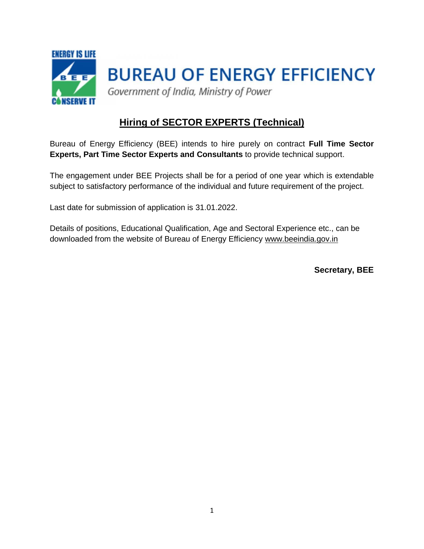

# **Hiring of SECTOR EXPERTS (Technical)**

Bureau of Energy Efficiency (BEE) intends to hire purely on contract **Full Time Sector Experts, Part Time Sector Experts and Consultants** to provide technical support.

The engagement under BEE Projects shall be for a period of one year which is extendable subject to satisfactory performance of the individual and future requirement of the project.

Last date for submission of application is 31.01.2022.

Details of positions, Educational Qualification, Age and Sectoral Experience etc., can be downloaded from the website of Bureau of Energy Efficiency [www.beeindia.gov.in](http://www.beeindia.gov.in/)

**Secretary, BEE**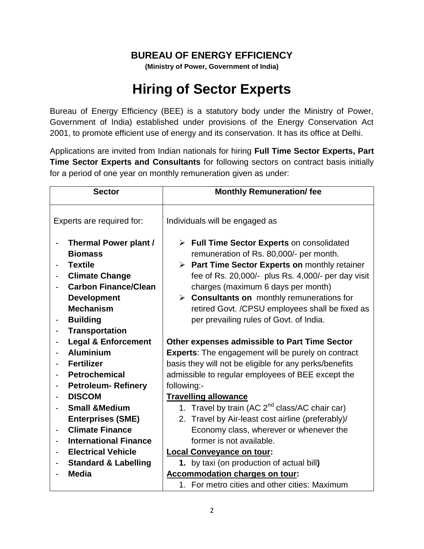## **BUREAU OF ENERGY EFFICIENCY**

**(Ministry of Power, Government of India)**

# **Hiring of Sector Experts**

Bureau of Energy Efficiency (BEE) is a statutory body under the Ministry of Power, Government of India) established under provisions of the Energy Conservation Act 2001, to promote efficient use of energy and its conservation. It has its office at Delhi.

Applications are invited from Indian nationals for hiring **Full Time Sector Experts, Part Time Sector Experts and Consultants** for following sectors on contract basis initially for a period of one year on monthly remuneration given as under:

| <b>Sector</b>                |                                                                                                                                                                                                                | <b>Monthly Remuneration/fee</b>                                                                                                                                                                                                                                                                                                                                                                |  |  |  |
|------------------------------|----------------------------------------------------------------------------------------------------------------------------------------------------------------------------------------------------------------|------------------------------------------------------------------------------------------------------------------------------------------------------------------------------------------------------------------------------------------------------------------------------------------------------------------------------------------------------------------------------------------------|--|--|--|
| Experts are required for:    |                                                                                                                                                                                                                | Individuals will be engaged as                                                                                                                                                                                                                                                                                                                                                                 |  |  |  |
| $\qquad \qquad \blacksquare$ | <b>Thermal Power plant /</b><br><b>Biomass</b><br><b>Textile</b><br><b>Climate Change</b><br><b>Carbon Finance/Clean</b><br><b>Development</b><br><b>Mechanism</b><br><b>Building</b><br><b>Transportation</b> | > Full Time Sector Experts on consolidated<br>remuneration of Rs. 80,000/- per month.<br>> Part Time Sector Experts on monthly retainer<br>fee of Rs. 20,000/- plus Rs. 4,000/- per day visit<br>charges (maximum 6 days per month)<br>$\triangleright$ Consultants on monthly remunerations for<br>retired Govt. /CPSU employees shall be fixed as<br>per prevailing rules of Govt. of India. |  |  |  |
|                              | <b>Legal &amp; Enforcement</b>                                                                                                                                                                                 | Other expenses admissible to Part Time Sector                                                                                                                                                                                                                                                                                                                                                  |  |  |  |
|                              | <b>Aluminium</b>                                                                                                                                                                                               | <b>Experts:</b> The engagement will be purely on contract                                                                                                                                                                                                                                                                                                                                      |  |  |  |
|                              | <b>Fertilizer</b>                                                                                                                                                                                              | basis they will not be eligible for any perks/benefits                                                                                                                                                                                                                                                                                                                                         |  |  |  |
|                              | <b>Petrochemical</b>                                                                                                                                                                                           | admissible to regular employees of BEE except the                                                                                                                                                                                                                                                                                                                                              |  |  |  |
|                              | <b>Petroleum-Refinery</b>                                                                                                                                                                                      | following:-                                                                                                                                                                                                                                                                                                                                                                                    |  |  |  |
|                              | <b>DISCOM</b>                                                                                                                                                                                                  | <b>Travelling allowance</b>                                                                                                                                                                                                                                                                                                                                                                    |  |  |  |
|                              | <b>Small &amp;Medium</b>                                                                                                                                                                                       | 1. Travel by train (AC 2 <sup>nd</sup> class/AC chair car)                                                                                                                                                                                                                                                                                                                                     |  |  |  |
|                              | <b>Enterprises (SME)</b>                                                                                                                                                                                       | 2. Travel by Air-least cost airline (preferably)/                                                                                                                                                                                                                                                                                                                                              |  |  |  |
| $\qquad \qquad \blacksquare$ | <b>Climate Finance</b>                                                                                                                                                                                         | Economy class, wherever or whenever the                                                                                                                                                                                                                                                                                                                                                        |  |  |  |
|                              | <b>International Finance</b>                                                                                                                                                                                   | former is not available.                                                                                                                                                                                                                                                                                                                                                                       |  |  |  |
|                              | <b>Electrical Vehicle</b>                                                                                                                                                                                      | <b>Local Conveyance on tour:</b>                                                                                                                                                                                                                                                                                                                                                               |  |  |  |
|                              | <b>Standard &amp; Labelling</b>                                                                                                                                                                                | 1. by taxi (on production of actual bill)                                                                                                                                                                                                                                                                                                                                                      |  |  |  |
|                              | <b>Media</b>                                                                                                                                                                                                   | <b>Accommodation charges on tour:</b>                                                                                                                                                                                                                                                                                                                                                          |  |  |  |
|                              |                                                                                                                                                                                                                | 1. For metro cities and other cities: Maximum                                                                                                                                                                                                                                                                                                                                                  |  |  |  |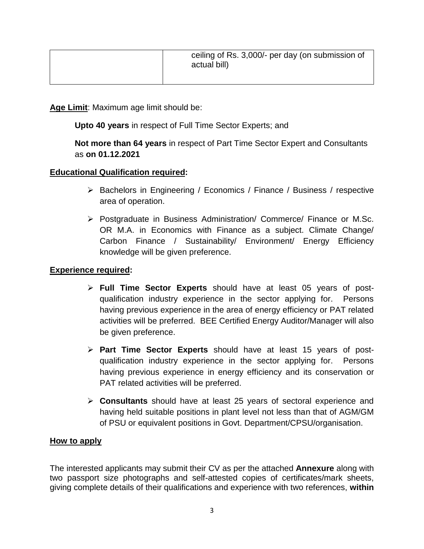| ceiling of Rs. 3,000/- per day (on submission of<br>actual bill) |
|------------------------------------------------------------------|
|                                                                  |

**Age Limit**: Maximum age limit should be:

**Upto 40 years** in respect of Full Time Sector Experts; and

### **Not more than 64 years** in respect of Part Time Sector Expert and Consultants as **on 01.12.2021**

#### **Educational Qualification required:**

- $\triangleright$  Bachelors in Engineering / Economics / Finance / Business / respective area of operation.
- $\triangleright$  Postgraduate in Business Administration/ Commerce/ Finance or M.Sc. OR M.A. in Economics with Finance as a subject. Climate Change/ Carbon Finance / Sustainability/ Environment/ Energy Efficiency knowledge will be given preference.

#### **Experience required:**

- **Full Time Sector Experts** should have at least 05 years of postqualification industry experience in the sector applying for. Persons having previous experience in the area of energy efficiency or PAT related activities will be preferred. BEE Certified Energy Auditor/Manager will also be given preference.
- **Part Time Sector Experts** should have at least 15 years of postqualification industry experience in the sector applying for. Persons having previous experience in energy efficiency and its conservation or PAT related activities will be preferred.
- **Consultants** should have at least 25 years of sectoral experience and having held suitable positions in plant level not less than that of AGM/GM of PSU or equivalent positions in Govt. Department/CPSU/organisation.

#### **How to apply**

The interested applicants may submit their CV as per the attached **Annexure** along with two passport size photographs and self-attested copies of certificates/mark sheets, giving complete details of their qualifications and experience with two references, **within**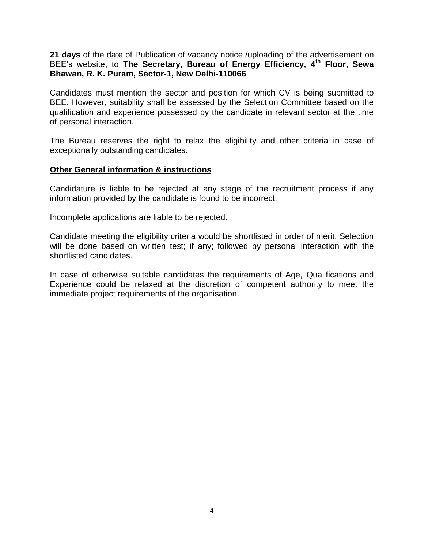**21 days** of the date of Publication of vacancy notice /uploading of the advertisement on BEE's website, to **The Secretary, Bureau of Energy Efficiency, 4th Floor, Sewa Bhawan, R. K. Puram, Sector-1, New Delhi-110066**

Candidates must mention the sector and position for which CV is being submitted to BEE. However, suitability shall be assessed by the Selection Committee based on the qualification and experience possessed by the candidate in relevant sector at the time of personal interaction.

The Bureau reserves the right to relax the eligibility and other criteria in case of exceptionally outstanding candidates.

#### **Other General information & instructions**

Candidature is liable to be rejected at any stage of the recruitment process if any information provided by the candidate is found to be incorrect.

Incomplete applications are liable to be rejected.

Candidate meeting the eligibility criteria would be shortlisted in order of merit. Selection will be done based on written test; if any; followed by personal interaction with the shortlisted candidates.

In case of otherwise suitable candidates the requirements of Age, Qualifications and Experience could be relaxed at the discretion of competent authority to meet the immediate project requirements of the organisation.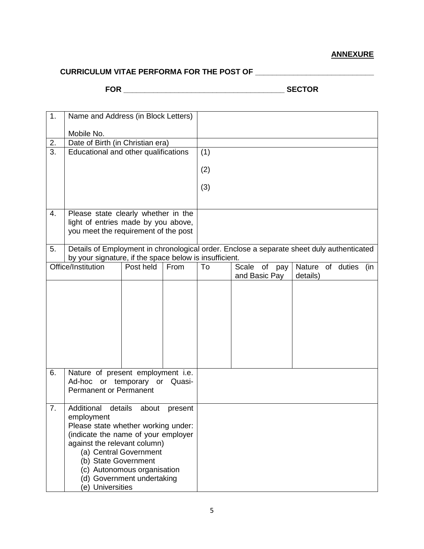## **CURRICULUM VITAE PERFORMA FOR THE POST OF \_\_\_\_\_\_\_\_\_\_\_\_\_\_\_\_\_\_\_\_\_\_\_\_\_\_\_\_**

**FOR \_\_\_\_\_\_\_\_\_\_\_\_\_\_\_\_\_\_\_\_\_\_\_\_\_\_\_\_\_\_\_\_\_\_\_\_\_\_ SECTOR**

| 1. | Name and Address (in Block Letters)                                                       |                             |         |     |          |               |          |           |     |
|----|-------------------------------------------------------------------------------------------|-----------------------------|---------|-----|----------|---------------|----------|-----------|-----|
|    | Mobile No.                                                                                |                             |         |     |          |               |          |           |     |
| 2. | Date of Birth (in Christian era)                                                          |                             |         |     |          |               |          |           |     |
| 3. | Educational and other qualifications                                                      |                             |         | (1) |          |               |          |           |     |
|    |                                                                                           |                             |         | (2) |          |               |          |           |     |
|    |                                                                                           |                             |         |     |          |               |          |           |     |
|    |                                                                                           |                             |         | (3) |          |               |          |           |     |
|    |                                                                                           |                             |         |     |          |               |          |           |     |
| 4. | Please state clearly whether in the                                                       |                             |         |     |          |               |          |           |     |
|    | light of entries made by you above,                                                       |                             |         |     |          |               |          |           |     |
|    | you meet the requirement of the post                                                      |                             |         |     |          |               |          |           |     |
| 5. | Details of Employment in chronological order. Enclose a separate sheet duly authenticated |                             |         |     |          |               |          |           |     |
|    | by your signature, if the space below is insufficient.                                    |                             |         |     |          |               |          |           |     |
|    | Office/Institution                                                                        | Post held                   | From    | To  | Scale of | pay           | Nature   | of duties | (in |
|    |                                                                                           |                             |         |     |          | and Basic Pay | details) |           |     |
|    |                                                                                           |                             |         |     |          |               |          |           |     |
|    |                                                                                           |                             |         |     |          |               |          |           |     |
|    |                                                                                           |                             |         |     |          |               |          |           |     |
|    |                                                                                           |                             |         |     |          |               |          |           |     |
|    |                                                                                           |                             |         |     |          |               |          |           |     |
|    |                                                                                           |                             |         |     |          |               |          |           |     |
|    |                                                                                           |                             |         |     |          |               |          |           |     |
| 6. |                                                                                           |                             |         |     |          |               |          |           |     |
|    | Nature of present employment i.e.<br>Ad-hoc or temporary or Quasi-                        |                             |         |     |          |               |          |           |     |
|    | <b>Permanent or Permanent</b>                                                             |                             |         |     |          |               |          |           |     |
|    |                                                                                           |                             |         |     |          |               |          |           |     |
| 7. | Additional                                                                                | details<br>about            | present |     |          |               |          |           |     |
|    | employment<br>Please state whether working under:                                         |                             |         |     |          |               |          |           |     |
|    | (indicate the name of your employer                                                       |                             |         |     |          |               |          |           |     |
|    | against the relevant column)                                                              |                             |         |     |          |               |          |           |     |
|    |                                                                                           | (a) Central Government      |         |     |          |               |          |           |     |
|    | (b) State Government                                                                      |                             |         |     |          |               |          |           |     |
|    |                                                                                           | (c) Autonomous organisation |         |     |          |               |          |           |     |
|    | (d) Government undertaking<br>(e) Universities                                            |                             |         |     |          |               |          |           |     |